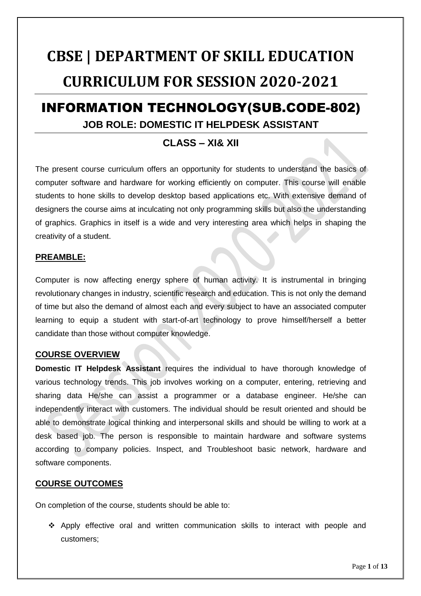# **CBSE | DEPARTMENT OF SKILL EDUCATION CURRICULUM FOR SESSION 2020-2021**

# INFORMATION TECHNOLOGY(SUB.CODE-802) **JOB ROLE: DOMESTIC IT HELPDESK ASSISTANT**

# **CLASS – XI& XII**

The present course curriculum offers an opportunity for students to understand the basics of computer software and hardware for working efficiently on computer. This course will enable students to hone skills to develop desktop based applications etc. With extensive demand of designers the course aims at inculcating not only programming skills but also the understanding of graphics. Graphics in itself is a wide and very interesting area which helps in shaping the creativity of a student.

#### **PREAMBLE:**

Computer is now affecting energy sphere of human activity. It is instrumental in bringing revolutionary changes in industry, scientific research and education. This is not only the demand of time but also the demand of almost each and every subject to have an associated computer learning to equip a student with start-of-art technology to prove himself/herself a better candidate than those without computer knowledge.

### **COURSE OVERVIEW**

**Domestic IT Helpdesk Assistant** requires the individual to have thorough knowledge of various technology trends. This job involves working on a computer, entering, retrieving and sharing data He/she can assist a programmer or a database engineer. He/she can independently interact with customers. The individual should be result oriented and should be able to demonstrate logical thinking and interpersonal skills and should be willing to work at a desk based job. The person is responsible to maintain hardware and software systems according to company policies. Inspect, and Troubleshoot basic network, hardware and software components.

### **COURSE OUTCOMES**

On completion of the course, students should be able to:

 $\div$  Apply effective oral and written communication skills to interact with people and customers;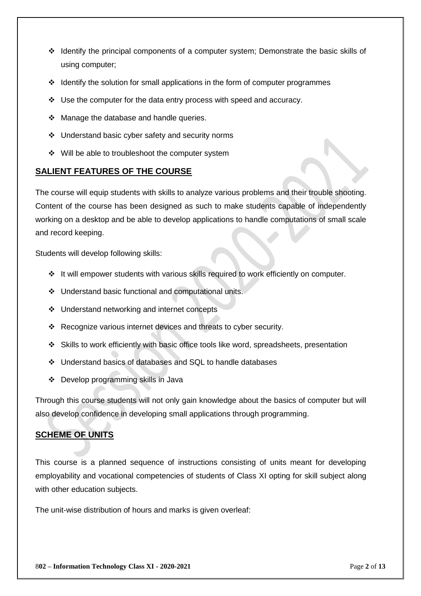- $\div$  Identify the principal components of a computer system; Demonstrate the basic skills of using computer;
- $\div$  Identify the solution for small applications in the form of computer programmes
- Use the computer for the data entry process with speed and accuracy.
- $\div$  Manage the database and handle queries.
- $\div$  Understand basic cyber safety and security norms
- $\div$  Will be able to troubleshoot the computer system

#### **SALIENT FEATURES OF THE COURSE**

The course will equip students with skills to analyze various problems and their trouble shooting. Content of the course has been designed as such to make students capable of independently working on a desktop and be able to develop applications to handle computations of small scale and record keeping.

Students will develop following skills:

- $\div$  It will empower students with various skills required to work efficiently on computer.
- Understand basic functional and computational units.
- ❖ Understand networking and internet concepts
- \* Recognize various internet devices and threats to cyber security.
- Skills to work efficiently with basic office tools like word, spreadsheets, presentation
- Understand basics of databases and SQL to handle databases
- ❖ Develop programming skills in Java

Through this course students will not only gain knowledge about the basics of computer but will also develop confidence in developing small applications through programming.

### **SCHEME OF UNITS**

This course is a planned sequence of instructions consisting of units meant for developing employability and vocational competencies of students of Class XI opting for skill subject along with other education subjects.

The unit-wise distribution of hours and marks is given overleaf: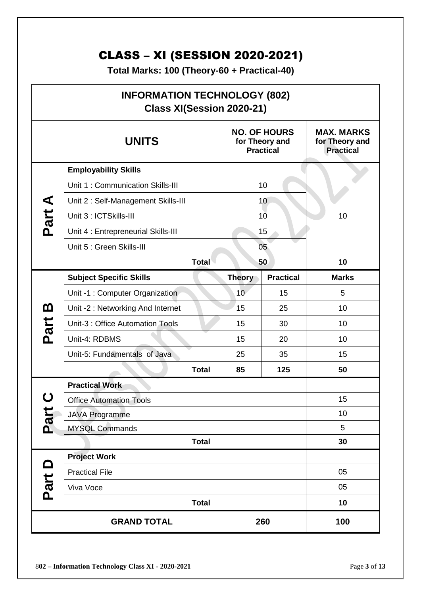# CLASS – XI (SESSION 2020-2021)

**Total Marks: 100 (Theory-60 + Practical-40)**

|          | <b>INFORMATION TECHNOLOGY (802)</b><br>Class XI(Session 2020-21) |                                                           |                  |                                                         |  |
|----------|------------------------------------------------------------------|-----------------------------------------------------------|------------------|---------------------------------------------------------|--|
|          | <b>UNITS</b>                                                     | <b>NO. OF HOURS</b><br>for Theory and<br><b>Practical</b> |                  | <b>MAX. MARKS</b><br>for Theory and<br><b>Practical</b> |  |
|          | <b>Employability Skills</b>                                      |                                                           |                  |                                                         |  |
|          | Unit 1: Communication Skills-III                                 |                                                           | 10               |                                                         |  |
|          | Unit 2: Self-Management Skills-III                               |                                                           | 10               |                                                         |  |
| Part A   | Unit 3 : ICTSkills-III                                           |                                                           | 10 <sup>1</sup>  | 10                                                      |  |
|          | Unit 4 : Entrepreneurial Skills-III                              |                                                           | 15               |                                                         |  |
|          | Unit 5 : Green Skills-III                                        |                                                           | 05               |                                                         |  |
|          | <b>Total</b>                                                     |                                                           | 50               | 10                                                      |  |
|          | <b>Subject Specific Skills</b>                                   | <b>Theory</b>                                             | <b>Practical</b> | <b>Marks</b>                                            |  |
|          | Unit -1 : Computer Organization                                  | 10                                                        | 15               | 5                                                       |  |
| <u>ന</u> | Unit -2: Networking And Internet                                 | 15                                                        | 25               | 10                                                      |  |
| Part     | Unit-3 : Office Automation Tools                                 | 15                                                        | 30               | 10                                                      |  |
|          | Unit-4: RDBMS                                                    | 15                                                        | 20               | 10                                                      |  |
|          | Unit-5: Fundamentals of Java                                     | 25                                                        | 35               | 15                                                      |  |
|          | <b>Total</b>                                                     | 85                                                        | 125              | 50                                                      |  |
|          | <b>Practical Work</b>                                            |                                                           |                  |                                                         |  |
|          | <b>Office Automation Tools</b>                                   |                                                           |                  | 15                                                      |  |
| Part     | <b>JAVA Programme</b>                                            |                                                           |                  | 10                                                      |  |
|          | <b>MYSQL Commands</b>                                            |                                                           |                  | 5                                                       |  |
|          | <b>Total</b>                                                     |                                                           |                  | 30                                                      |  |
|          | <b>Project Work</b>                                              |                                                           |                  |                                                         |  |
|          | <b>Practical File</b>                                            |                                                           |                  | 05                                                      |  |
| Part D   | Viva Voce                                                        |                                                           |                  | 05                                                      |  |
|          | <b>Total</b>                                                     |                                                           |                  | 10                                                      |  |
|          | <b>GRAND TOTAL</b>                                               |                                                           | 260              | 100                                                     |  |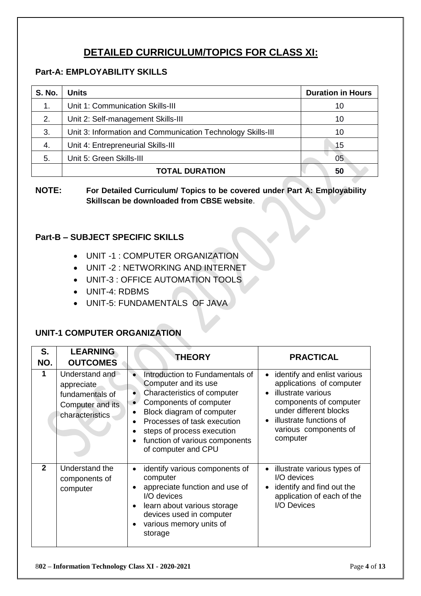# **DETAILED CURRICULUM/TOPICS FOR CLASS XI:**

# **Part-A: EMPLOYABILITY SKILLS**

| <b>S. No.</b> | <b>Units</b>                                                | <b>Duration in Hours</b> |
|---------------|-------------------------------------------------------------|--------------------------|
| 1.            | Unit 1: Communication Skills-III                            | 10                       |
| 2.            | Unit 2: Self-management Skills-III                          | 10                       |
| 3.            | Unit 3: Information and Communication Technology Skills-III | 10                       |
| 4.            | Unit 4: Entrepreneurial Skills-III                          | 15                       |
| 5.            | Unit 5: Green Skills-III                                    | 05                       |
|               | <b>TOTAL DURATION</b>                                       | 50                       |

**NOTE: For Detailed Curriculum/ Topics to be covered under Part A: Employability Skillscan be downloaded from CBSE website**.

# **Part-B – SUBJECT SPECIFIC SKILLS**

- UNIT -1 : COMPUTER ORGANIZATION
- UNIT -2 : NETWORKING AND INTERNET
- UNIT-3 : OFFICE AUTOMATION TOOLS
- UNIT-4: RDBMS
- UNIT-5: FUNDAMENTALS OF JAVA

# **UNIT-1 COMPUTER ORGANIZATION**

| S.<br>NO.      | <b>LEARNING</b><br><b>OUTCOMES</b>                                                     | <b>THEORY</b>                                                                                                                                                                                                                                                            | <b>PRACTICAL</b>                                                                                                                                                                                  |
|----------------|----------------------------------------------------------------------------------------|--------------------------------------------------------------------------------------------------------------------------------------------------------------------------------------------------------------------------------------------------------------------------|---------------------------------------------------------------------------------------------------------------------------------------------------------------------------------------------------|
| 1              | Understand and<br>appreciate<br>fundamentals of<br>Computer and its<br>characteristics | Introduction to Fundamentals of<br>Computer and its use<br>Characteristics of computer<br>٠<br>Components of computer<br>Block diagram of computer<br>Processes of task execution<br>steps of process execution<br>function of various components<br>of computer and CPU | identify and enlist various<br>applications of computer<br>illustrate various<br>components of computer<br>under different blocks<br>illustrate functions of<br>various components of<br>computer |
| $\overline{2}$ | Understand the<br>components of<br>computer                                            | identify various components of<br>$\bullet$<br>computer<br>appreciate function and use of<br>I/O devices<br>learn about various storage<br>devices used in computer<br>various memory units of<br>storage                                                                | illustrate various types of<br>I/O devices<br>identify and find out the<br>application of each of the<br>I/O Devices                                                                              |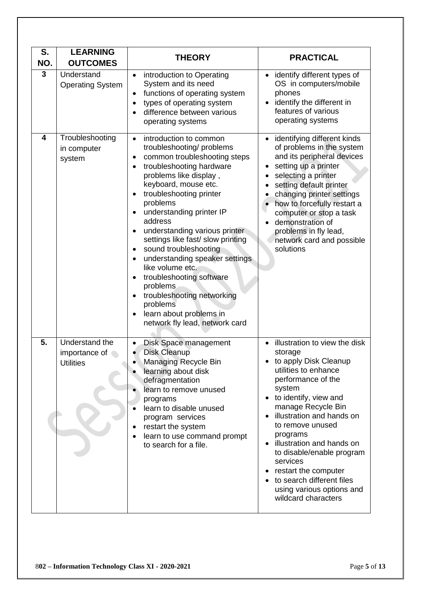| S.<br>NO. | <b>LEARNING</b><br><b>OUTCOMES</b>                  | <b>THEORY</b>                                                                                                                                                                                                                                                                                                                                                                                                                                                                                                                                                                                                       | <b>PRACTICAL</b>                                                                                                                                                                                                                                                                                                                                                                                                     |
|-----------|-----------------------------------------------------|---------------------------------------------------------------------------------------------------------------------------------------------------------------------------------------------------------------------------------------------------------------------------------------------------------------------------------------------------------------------------------------------------------------------------------------------------------------------------------------------------------------------------------------------------------------------------------------------------------------------|----------------------------------------------------------------------------------------------------------------------------------------------------------------------------------------------------------------------------------------------------------------------------------------------------------------------------------------------------------------------------------------------------------------------|
| 3         | Understand<br><b>Operating System</b>               | introduction to Operating<br>$\bullet$<br>System and its need<br>functions of operating system<br>$\bullet$<br>types of operating system<br>difference between various<br>operating systems                                                                                                                                                                                                                                                                                                                                                                                                                         | • identify different types of<br>OS in computers/mobile<br>phones<br>identify the different in<br>features of various<br>operating systems                                                                                                                                                                                                                                                                           |
| 4         | Troubleshooting<br>in computer<br>system            | introduction to common<br>$\bullet$<br>troubleshooting/problems<br>common troubleshooting steps<br>troubleshooting hardware<br>problems like display,<br>keyboard, mouse etc.<br>troubleshooting printer<br>$\bullet$<br>problems<br>understanding printer IP<br>address<br>understanding various printer<br>settings like fast/ slow printing<br>sound troubleshooting<br>$\bullet$<br>understanding speaker settings<br>like volume etc.<br>troubleshooting software<br>problems<br>troubleshooting networking<br>$\bullet$<br>problems<br>learn about problems in<br>$\bullet$<br>network fly lead, network card | identifying different kinds<br>of problems in the system<br>and its peripheral devices<br>setting up a printer<br>selecting a printer<br>setting default printer<br>changing printer settings<br>how to forcefully restart a<br>computer or stop a task<br>demonstration of<br>problems in fly lead,<br>network card and possible<br>solutions                                                                       |
| 5.        | Understand the<br>importance of<br><b>Utilities</b> | Disk Space management<br>$\bullet$<br><b>Disk Cleanup</b><br>Managing Recycle Bin<br>learning about disk<br>defragmentation<br>learn to remove unused<br>programs<br>learn to disable unused<br>program services<br>restart the system<br>$\bullet$<br>learn to use command prompt<br>$\bullet$<br>to search for a file.                                                                                                                                                                                                                                                                                            | illustration to view the disk<br>storage<br>to apply Disk Cleanup<br>utilities to enhance<br>performance of the<br>system<br>to identify, view and<br>manage Recycle Bin<br>illustration and hands on<br>to remove unused<br>programs<br>illustration and hands on<br>to disable/enable program<br>services<br>restart the computer<br>to search different files<br>using various options and<br>wildcard characters |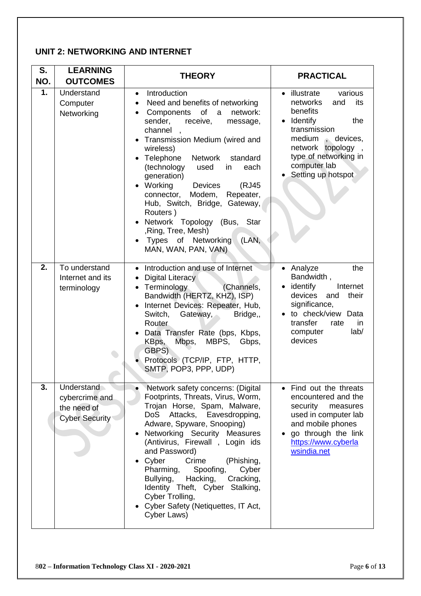# **UNIT 2: NETWORKING AND INTERNET**

| S.<br>NO.        | <b>LEARNING</b><br><b>OUTCOMES</b>                                   | <b>THEORY</b>                                                                                                                                                                                                                                                                                                                                                                                                                                                                                                                                                                  | <b>PRACTICAL</b>                                                                                                                                                                                            |
|------------------|----------------------------------------------------------------------|--------------------------------------------------------------------------------------------------------------------------------------------------------------------------------------------------------------------------------------------------------------------------------------------------------------------------------------------------------------------------------------------------------------------------------------------------------------------------------------------------------------------------------------------------------------------------------|-------------------------------------------------------------------------------------------------------------------------------------------------------------------------------------------------------------|
| 1.               | Understand<br>Computer<br>Networking                                 | Introduction<br>$\bullet$<br>Need and benefits of networking<br>$\bullet$<br>of<br>Components<br>a<br>network:<br>sender,<br>receive,<br>message,<br>channel<br>$\overline{\phantom{a}}$<br>• Transmission Medium (wired and<br>wireless)<br>• Telephone<br><b>Network</b><br>standard<br>(technology<br>each<br>used<br>in<br>generation)<br>Working<br><b>Devices</b><br>(RJ45<br>connector, Modem,<br>Repeater,<br>Hub, Switch, Bridge, Gateway,<br>Routers)<br>• Network Topology (Bus, Star<br>, Ring, Tree, Mesh)<br>(LAN,<br>Types of Networking<br>MAN, WAN, PAN, VAN) | • illustrate<br>various<br>networks<br>and<br>its<br>benefits<br>• Identify<br>the<br>transmission<br>medium, devices,<br>network topology<br>type of networking in<br>computer lab<br>• Setting up hotspot |
| 2.               | To understand<br>Internet and its<br>terminology                     | • Introduction and use of Internet<br>• Digital Literacy<br>• Terminology<br>(Channels,<br>Bandwidth (HERTZ, KHZ), ISP)<br>Internet Devices: Repeater, Hub,<br>Switch,<br>Gateway,<br>Bridge,,<br>Router<br>Data Transfer Rate (bps, Kbps,<br>Mbps,<br>MBPS,<br>KBps,<br>Gbps,<br>GBPS)<br>Protocols (TCP/IP, FTP, HTTP,<br>SMTP, POP3, PPP, UDP)                                                                                                                                                                                                                              | • Analyze<br>the<br>Bandwidth,<br>$\bullet$ identify<br>Internet<br>devices<br>their<br>and<br>significance,<br>• to check/view Data<br>transfer<br>rate<br>in<br>lab/<br>computer<br>devices               |
| $\overline{3}$ . | Understand<br>cybercrime and<br>the need of<br><b>Cyber Security</b> | Network safety concerns: (Digital<br>Footprints, Threats, Virus, Worm,<br>Trojan Horse, Spam, Malware,<br>Attacks, Eavesdropping,<br>DoS<br>Adware, Spyware, Snooping)<br>Networking Security Measures<br>(Antivirus, Firewall, Login ids<br>and Password)<br>Cyber<br>Crime<br>(Phishing,<br>Pharming.<br>Spoofing,<br>Cyber<br>Bullying,<br>Hacking,<br>Cracking,<br>Identity Theft, Cyber Stalking,<br>Cyber Trolling,<br>Cyber Safety (Netiquettes, IT Act,<br>Cyber Laws)                                                                                                 | • Find out the threats<br>encountered and the<br>security<br>measures<br>used in computer lab<br>and mobile phones<br>go through the link<br>https://www.cyberla<br>wsindia.net                             |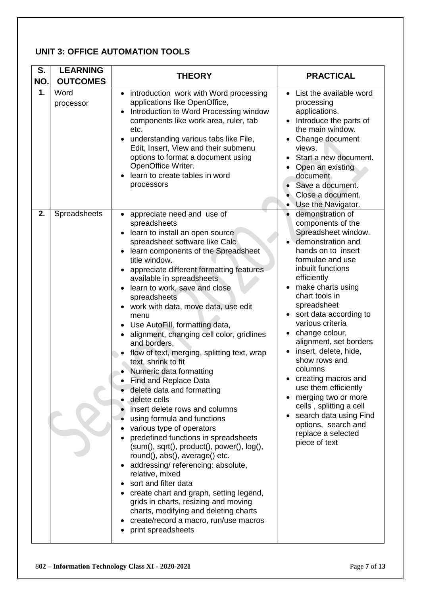# **UNIT 3: OFFICE AUTOMATION TOOLS**

| S.<br>NO. | <b>LEARNING</b><br><b>OUTCOMES</b> | <b>THEORY</b>                                                                                                                                                                                                                                                                                                                                                                                                                                                                                                                                                                                                                                                                                                                                                                                                                                                                                                                                                                                                                                                                                                                       | <b>PRACTICAL</b>                                                                                                                                                                                                                                                                                                                                                                                                                                                                                                                                              |
|-----------|------------------------------------|-------------------------------------------------------------------------------------------------------------------------------------------------------------------------------------------------------------------------------------------------------------------------------------------------------------------------------------------------------------------------------------------------------------------------------------------------------------------------------------------------------------------------------------------------------------------------------------------------------------------------------------------------------------------------------------------------------------------------------------------------------------------------------------------------------------------------------------------------------------------------------------------------------------------------------------------------------------------------------------------------------------------------------------------------------------------------------------------------------------------------------------|---------------------------------------------------------------------------------------------------------------------------------------------------------------------------------------------------------------------------------------------------------------------------------------------------------------------------------------------------------------------------------------------------------------------------------------------------------------------------------------------------------------------------------------------------------------|
| 1.        | Word<br>processor                  | introduction work with Word processing<br>$\bullet$<br>applications like OpenOffice,<br>Introduction to Word Processing window<br>components like work area, ruler, tab<br>etc.<br>understanding various tabs like File,<br>Edit, Insert, View and their submenu<br>options to format a document using<br>OpenOffice Writer.<br>learn to create tables in word<br>processors                                                                                                                                                                                                                                                                                                                                                                                                                                                                                                                                                                                                                                                                                                                                                        | List the available word<br>$\bullet$<br>processing<br>applications.<br>Introduce the parts of<br>the main window.<br>Change document<br>views.<br>Start a new document.<br>Open an existing<br>document.<br>Save a document.<br>Close a document.<br>Use the Navigator.<br>$\bullet$                                                                                                                                                                                                                                                                          |
| 2.        | Spreadsheets                       | • appreciate need and use of<br>spreadsheets<br>learn to install an open source<br>spreadsheet software like Calc<br>learn components of the Spreadsheet<br>title window.<br>appreciate different formatting features<br>available in spreadsheets<br>learn to work, save and close<br>spreadsheets<br>work with data, move data, use edit<br>menu<br>Use AutoFill, formatting data,<br>alignment, changing cell color, gridlines<br>and borders,<br>flow of text, merging, splitting text, wrap<br>text, shrink to fit<br>Numeric data formatting<br><b>Find and Replace Data</b><br>delete data and formatting<br>delete cells<br>insert delete rows and columns<br>using formula and functions<br>various type of operators<br>predefined functions in spreadsheets<br>$(sum(), sqrt(), product(), power(), log(),$<br>round(), abs(), average() etc.<br>addressing/referencing: absolute,<br>relative, mixed<br>sort and filter data<br>create chart and graph, setting legend,<br>grids in charts, resizing and moving<br>charts, modifying and deleting charts<br>create/record a macro, run/use macros<br>print spreadsheets | demonstration of<br>components of the<br>Spreadsheet window.<br>demonstration and<br>hands on to insert<br>formulae and use<br>inbuilt functions<br>efficiently<br>make charts using<br>chart tools in<br>spreadsheet<br>sort data according to<br>various criteria<br>change colour,<br>alignment, set borders<br>insert, delete, hide,<br>show rows and<br>columns<br>creating macros and<br>use them efficiently<br>merging two or more<br>cells, splitting a cell<br>search data using Find<br>options, search and<br>replace a selected<br>piece of text |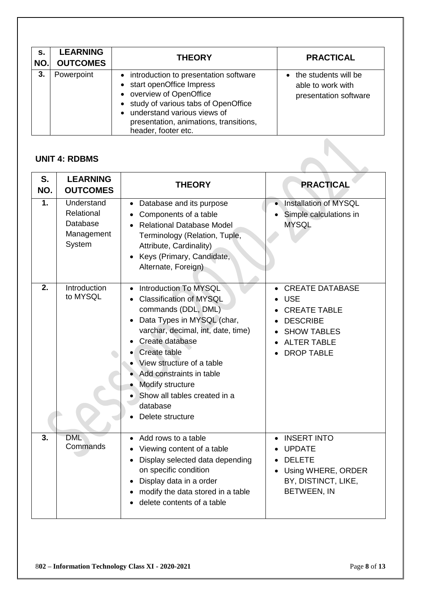| s.<br>NO. | <b>LEARNING</b><br><b>OUTCOMES</b> | <b>THEORY</b>                                                                                                                                                                                                                                           | <b>PRACTICAL</b>                                                     |
|-----------|------------------------------------|---------------------------------------------------------------------------------------------------------------------------------------------------------------------------------------------------------------------------------------------------------|----------------------------------------------------------------------|
| 3.        | Powerpoint                         | • introduction to presentation software<br>• start openOffice Impress<br>• overview of OpenOffice<br>• study of various tabs of OpenOffice<br>understand various views of<br>$\bullet$<br>presentation, animations, transitions,<br>header, footer etc. | • the students will be<br>able to work with<br>presentation software |

# **UNIT 4: RDBMS**

|             | <b>UNIT 4: RDBMS</b>                                         |                                                                                                                                                                                                                                                                                                                                           |                                                                                                                                                 |  |
|-------------|--------------------------------------------------------------|-------------------------------------------------------------------------------------------------------------------------------------------------------------------------------------------------------------------------------------------------------------------------------------------------------------------------------------------|-------------------------------------------------------------------------------------------------------------------------------------------------|--|
| S.<br>NO.   | <b>LEARNING</b><br><b>OUTCOMES</b>                           | <b>THEORY</b>                                                                                                                                                                                                                                                                                                                             | <b>PRACTICAL</b>                                                                                                                                |  |
| $\mathbf 1$ | Understand<br>Relational<br>Database<br>Management<br>System | Database and its purpose<br>Components of a table<br><b>Relational Database Model</b><br>Terminology (Relation, Tuple,<br>Attribute, Cardinality)<br>Keys (Primary, Candidate,<br>Alternate, Foreign)                                                                                                                                     | Installation of MYSQL<br>Simple calculations in<br><b>MYSQL</b>                                                                                 |  |
| 2.          | Introduction<br>to MYSQL                                     | <b>Introduction To MYSQL</b><br><b>Classification of MYSQL</b><br>commands (DDL, DML)<br>Data Types in MYSQL (char,<br>varchar, decimal, int, date, time)<br>Create database<br>Create table<br>View structure of a table<br>Add constraints in table<br>Modify structure<br>Show all tables created in a<br>database<br>Delete structure | <b>CREATE DATABASE</b><br><b>USE</b><br><b>CREATE TABLE</b><br><b>DESCRIBE</b><br><b>SHOW TABLES</b><br><b>ALTER TABLE</b><br><b>DROP TABLE</b> |  |
| 3.          | <b>DML</b><br>Commands                                       | Add rows to a table<br>Viewing content of a table<br>Display selected data depending<br>on specific condition<br>Display data in a order<br>modify the data stored in a table<br>delete contents of a table                                                                                                                               | <b>INSERT INTO</b><br><b>UPDATE</b><br><b>DELETE</b><br>$\bullet$<br>Using WHERE, ORDER<br>BY, DISTINCT, LIKE,<br><b>BETWEEN, IN</b>            |  |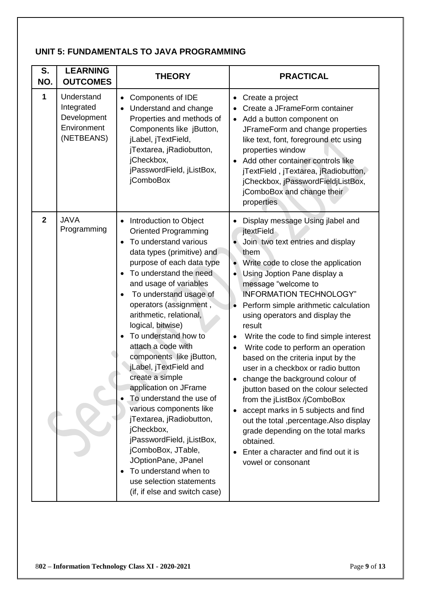# **UNIT 5: FUNDAMENTALS TO JAVA PROGRAMMING**

| S.<br>NO.      | <b>LEARNING</b><br><b>OUTCOMES</b>                                   | <b>THEORY</b>                                                                                                                                                                                                                                                                                                                                                                                                                                                                                                                                                                                                                                                                                                                                                                                    | <b>PRACTICAL</b>                                                                                                                                                                                                                                                                                                                                                                                                                                                                                                                                                                                                                                                                                                                                                                                                                                 |
|----------------|----------------------------------------------------------------------|--------------------------------------------------------------------------------------------------------------------------------------------------------------------------------------------------------------------------------------------------------------------------------------------------------------------------------------------------------------------------------------------------------------------------------------------------------------------------------------------------------------------------------------------------------------------------------------------------------------------------------------------------------------------------------------------------------------------------------------------------------------------------------------------------|--------------------------------------------------------------------------------------------------------------------------------------------------------------------------------------------------------------------------------------------------------------------------------------------------------------------------------------------------------------------------------------------------------------------------------------------------------------------------------------------------------------------------------------------------------------------------------------------------------------------------------------------------------------------------------------------------------------------------------------------------------------------------------------------------------------------------------------------------|
| 1              | Understand<br>Integrated<br>Development<br>Environment<br>(NETBEANS) | Components of IDE<br>$\bullet$<br>Understand and change<br>$\bullet$<br>Properties and methods of<br>Components like jButton,<br>jLabel, jTextField,<br>jTextarea, jRadiobutton,<br>jCheckbox,<br>jPasswordField, jListBox,<br>jComboBox                                                                                                                                                                                                                                                                                                                                                                                                                                                                                                                                                         | Create a project<br>Create a JFrameForm container<br>Add a button component on<br>$\bullet$<br>JFrameForm and change properties<br>like text, font, foreground etc using<br>properties window<br>Add other container controls like<br>jTextField, jTextarea, jRadiobutton,<br>jCheckbox, jPasswordFieldjListBox,<br>jComboBox and change their<br>properties                                                                                                                                                                                                                                                                                                                                                                                                                                                                                     |
| $\overline{2}$ | <b>JAVA</b><br>Programming                                           | Introduction to Object<br>$\bullet$<br><b>Oriented Programming</b><br>To understand various<br>$\bullet$<br>data types (primitive) and<br>purpose of each data type<br>To understand the need<br>$\bullet$<br>and usage of variables<br>To understand usage of<br>$\bullet$<br>operators (assignment,<br>arithmetic, relational,<br>logical, bitwise)<br>To understand how to<br>$\bullet$<br>attach a code with<br>components like jButton,<br>jLabel, jTextField and<br>create a simple<br>application on JFrame<br>To understand the use of<br>various components like<br>jTextarea, jRadiobutton,<br>jCheckbox,<br>jPasswordField, jListBox,<br>jComboBox, JTable,<br>JOptionPane, JPanel<br>To understand when to<br>$\bullet$<br>use selection statements<br>(if, if else and switch case) | Display message Using jlabel and<br>$\bullet$<br>jtextField<br>Join two text entries and display<br>them<br>Write code to close the application<br>Using Joption Pane display a<br>$\bullet$<br>message "welcome to<br><b>INFORMATION TECHNOLOGY"</b><br>Perform simple arithmetic calculation<br>$\bullet$<br>using operators and display the<br>result<br>Write the code to find simple interest<br>$\bullet$<br>Write code to perform an operation<br>based on the criteria input by the<br>user in a checkbox or radio button<br>change the background colour of<br>jbutton based on the colour selected<br>from the jListBox /jComboBox<br>accept marks in 5 subjects and find<br>out the total , percentage. Also display<br>grade depending on the total marks<br>obtained.<br>Enter a character and find out it is<br>vowel or consonant |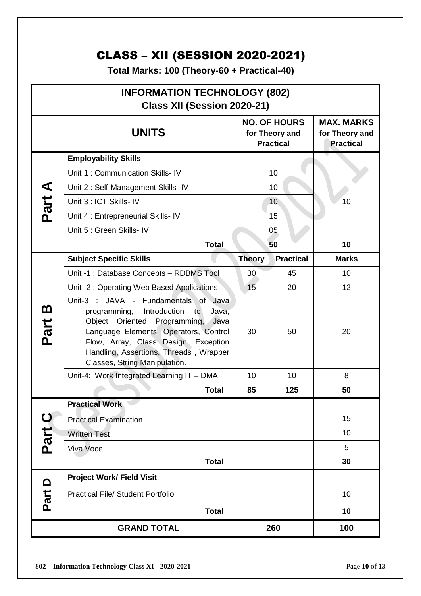# CLASS – XII (SESSION 2020-2021)

**Total Marks: 100 (Theory-60 + Practical-40)**

| <b>INFORMATION TECHNOLOGY (802)</b><br>Class XII (Session 2020-21) |                                                                                                                                                                                                                                                                                               |               |                                                           |                                                         |
|--------------------------------------------------------------------|-----------------------------------------------------------------------------------------------------------------------------------------------------------------------------------------------------------------------------------------------------------------------------------------------|---------------|-----------------------------------------------------------|---------------------------------------------------------|
|                                                                    | <b>UNITS</b>                                                                                                                                                                                                                                                                                  |               | <b>NO. OF HOURS</b><br>for Theory and<br><b>Practical</b> | <b>MAX. MARKS</b><br>for Theory and<br><b>Practical</b> |
|                                                                    | <b>Employability Skills</b>                                                                                                                                                                                                                                                                   |               |                                                           |                                                         |
|                                                                    | Unit 1: Communication Skills- IV                                                                                                                                                                                                                                                              | 10            |                                                           |                                                         |
| Part A                                                             | Unit 2: Self-Management Skills- IV                                                                                                                                                                                                                                                            |               | 10                                                        |                                                         |
|                                                                    | Unit 3 : ICT Skills- IV                                                                                                                                                                                                                                                                       |               | 10                                                        | 10                                                      |
|                                                                    | Unit 4 : Entrepreneurial Skills-IV                                                                                                                                                                                                                                                            |               | 15                                                        |                                                         |
|                                                                    | Unit 5 : Green Skills- IV                                                                                                                                                                                                                                                                     |               | 05                                                        |                                                         |
|                                                                    | <b>Total</b>                                                                                                                                                                                                                                                                                  |               | 50                                                        | 10                                                      |
|                                                                    | <b>Subject Specific Skills</b>                                                                                                                                                                                                                                                                | <b>Theory</b> | <b>Practical</b>                                          | <b>Marks</b>                                            |
|                                                                    | Unit -1 : Database Concepts - RDBMS Tool                                                                                                                                                                                                                                                      | 30            | 45                                                        | 10                                                      |
|                                                                    | Unit -2: Operating Web Based Applications                                                                                                                                                                                                                                                     | 15            | 20                                                        | 12                                                      |
| <u>ന</u><br>Part                                                   | Unit-3 :<br>JAVA - Fundamentals of Java<br>Introduction<br>programming,<br>Java,<br>to<br>Oriented Programming,<br>Object<br>Java<br>Language Elements, Operators, Control<br>Flow, Array, Class Design, Exception<br>Handling, Assertions, Threads, Wrapper<br>Classes, String Manipulation. | 30<br>50      |                                                           | 20                                                      |
|                                                                    | Unit-4: Work Integrated Learning IT - DMA                                                                                                                                                                                                                                                     | 10            | 10                                                        | 8                                                       |
|                                                                    | <b>Total</b>                                                                                                                                                                                                                                                                                  | 85            | 125                                                       | 50                                                      |
|                                                                    | <b>Practical Work</b>                                                                                                                                                                                                                                                                         |               |                                                           |                                                         |
| $\mathbf C$                                                        | <b>Practical Examination</b>                                                                                                                                                                                                                                                                  |               |                                                           | 15                                                      |
| Part                                                               | <b>Written Test</b>                                                                                                                                                                                                                                                                           |               |                                                           | 10                                                      |
|                                                                    | Viva Voce                                                                                                                                                                                                                                                                                     |               |                                                           | 5                                                       |
|                                                                    | <b>Total</b>                                                                                                                                                                                                                                                                                  |               |                                                           | 30                                                      |
| $\Box$                                                             | <b>Project Work/ Field Visit</b>                                                                                                                                                                                                                                                              |               |                                                           |                                                         |
| Part                                                               | <b>Practical File/ Student Portfolio</b>                                                                                                                                                                                                                                                      |               |                                                           | 10                                                      |
|                                                                    | <b>Total</b>                                                                                                                                                                                                                                                                                  |               |                                                           | 10                                                      |
|                                                                    | <b>GRAND TOTAL</b>                                                                                                                                                                                                                                                                            |               | 260                                                       | 100                                                     |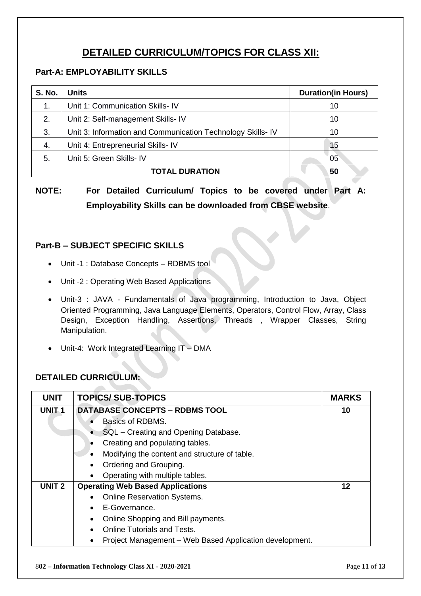# **DETAILED CURRICULUM/TOPICS FOR CLASS XII:**

# **Part-A: EMPLOYABILITY SKILLS**

| <b>S. No.</b> | Units                                                       | <b>Duration(in Hours)</b> |  |
|---------------|-------------------------------------------------------------|---------------------------|--|
| 1.            | Unit 1: Communication Skills- IV                            | 10                        |  |
| 2.            | Unit 2: Self-management Skills- IV                          | 10                        |  |
| 3.            | Unit 3: Information and Communication Technology Skills- IV | 10                        |  |
| 4.            | Unit 4: Entrepreneurial Skills- IV                          | 15                        |  |
| 5.            | Unit 5: Green Skills- IV                                    | 05                        |  |
|               | <b>TOTAL DURATION</b>                                       | 50                        |  |

**NOTE: For Detailed Curriculum/ Topics to be covered under Part A: Employability Skills can be downloaded from CBSE website**.

# **Part-B – SUBJECT SPECIFIC SKILLS**

- Unit -1 : Database Concepts RDBMS tool
- Unit -2 : Operating Web Based Applications
- Unit-3 : JAVA Fundamentals of Java programming, Introduction to Java, Object Oriented Programming, Java Language Elements, Operators, Control Flow, Array, Class Design, Exception Handling, Assertions, Threads , Wrapper Classes, String Manipulation.
- Unit-4: Work Integrated Learning IT DMA

# **DETAILED CURRICULUM:**

| <b>UNIT</b>       | <b>TOPICS/SUB-TOPICS</b>                                   | <b>MARKS</b> |
|-------------------|------------------------------------------------------------|--------------|
| UNIT <sub>1</sub> | <b>DATABASE CONCEPTS - RDBMS TOOL</b>                      | 10           |
|                   | Basics of RDBMS.                                           |              |
|                   | SQL - Creating and Opening Database.                       |              |
|                   | Creating and populating tables.                            |              |
|                   | Modifying the content and structure of table.<br>$\bullet$ |              |
|                   | Ordering and Grouping.<br>$\bullet$                        |              |
|                   | Operating with multiple tables.<br>$\bullet$               |              |
| UNIT <sub>2</sub> | <b>Operating Web Based Applications</b>                    | 12           |
|                   | <b>Online Reservation Systems.</b><br>$\bullet$            |              |
|                   | E-Governance.<br>$\bullet$                                 |              |
|                   | Online Shopping and Bill payments.                         |              |
|                   | <b>Online Tutorials and Tests.</b><br>$\bullet$            |              |
|                   | Project Management - Web Based Application development.    |              |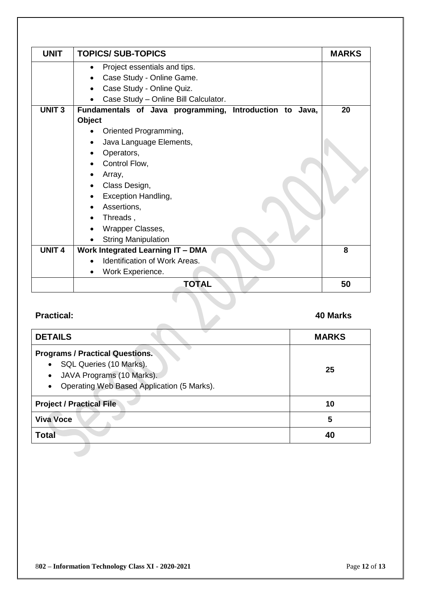| <b>UNIT</b>   | <b>TOPICS/ SUB-TOPICS</b>                               | <b>MARKS</b> |
|---------------|---------------------------------------------------------|--------------|
|               | Project essentials and tips.                            |              |
|               | Case Study - Online Game.                               |              |
|               | Case Study - Online Quiz.                               |              |
|               | Case Study - Online Bill Calculator.                    |              |
| <b>UNIT3</b>  | Fundamentals of Java programming, Introduction to Java, | 20           |
|               | <b>Object</b>                                           |              |
|               | Oriented Programming,                                   |              |
|               | Java Language Elements,                                 |              |
|               | Operators,                                              |              |
|               | Control Flow,                                           |              |
|               | Array,                                                  |              |
|               | Class Design,                                           |              |
|               | Exception Handling,                                     |              |
|               | Assertions,                                             |              |
|               | Threads,                                                |              |
|               | Wrapper Classes,                                        |              |
|               | <b>String Manipulation</b>                              |              |
| <b>UNIT 4</b> | <b>Work Integrated Learning IT - DMA</b>                | 8            |
|               | Identification of Work Areas.                           |              |
|               | Work Experience.                                        |              |
|               | <b>TOTAL</b>                                            | 50           |

# **Practical: 40 Marks**

| <b>DETAILS</b>                                                                                                                                         | <b>MARKS</b> |
|--------------------------------------------------------------------------------------------------------------------------------------------------------|--------------|
| <b>Programs / Practical Questions.</b><br>SQL Queries (10 Marks).<br>JAVA Programs (10 Marks).<br>٠<br>Operating Web Based Application (5 Marks).<br>٠ | 25           |
| <b>Project / Practical File</b>                                                                                                                        | 10           |
| <b>Viva Voce</b>                                                                                                                                       | 5            |
| <b>Total</b>                                                                                                                                           | 40           |
|                                                                                                                                                        |              |